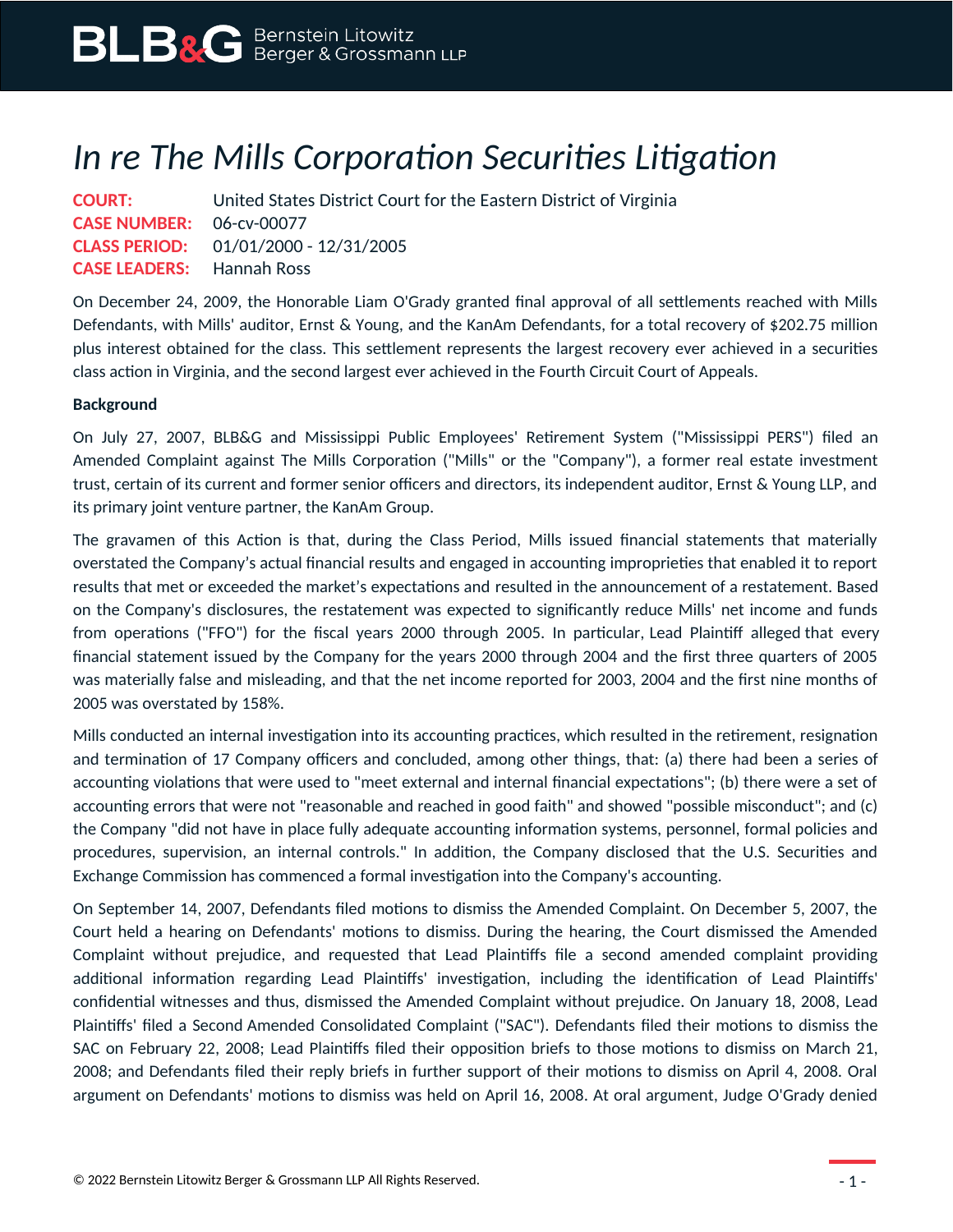## *In re The Mills Corporation Securities Litigation*

**COURT:** United States District Court for the Eastern District of Virginia **CASE NUMBER:** 06-cv-00077 **CLASS PERIOD:** 01/01/2000 - 12/31/2005 **CASE LEADERS:** Hannah Ross

On December 24, 2009, the Honorable Liam O'Grady granted final approval of all settlements reached with Mills Defendants, with Mills' auditor, Ernst & Young, and the KanAm Defendants, for a total recovery of \$202.75 million plus interest obtained for the class. This settlement represents the largest recovery ever achieved in a securities class action in Virginia, and the second largest ever achieved in the Fourth Circuit Court of Appeals.

## **Background**

On July 27, 2007, BLB&G and Mississippi Public Employees' Retirement System ("Mississippi PERS") filed an Amended Complaint against The Mills Corporation ("Mills" or the "Company"), a former real estate investment trust, certain of its current and former senior officers and directors, its independent auditor, Ernst & Young LLP, and its primary joint venture partner, the KanAm Group.

The gravamen of this Action is that, during the Class Period, Mills issued financial statements that materially overstated the Company's actual financial results and engaged in accounting improprieties that enabled it to report results that met or exceeded the market's expectations and resulted in the announcement of a restatement. Based on the Company's disclosures, the restatement was expected to significantly reduce Mills' net income and funds from operations ("FFO") for the fiscal years 2000 through 2005. In particular, Lead Plaintiff alleged that every financial statement issued by the Company for the years 2000 through 2004 and the first three quarters of 2005 was materially false and misleading, and that the net income reported for 2003, 2004 and the first nine months of 2005 was overstated by 158%.

Mills conducted an internal investigation into its accounting practices, which resulted in the retirement, resignation and termination of 17 Company officers and concluded, among other things, that: (a) there had been a series of accounting violations that were used to "meet external and internal financial expectations"; (b) there were a set of accounting errors that were not "reasonable and reached in good faith" and showed "possible misconduct"; and (c) the Company "did not have in place fully adequate accounting information systems, personnel, formal policies and procedures, supervision, an internal controls." In addition, the Company disclosed that the U.S. Securities and Exchange Commission has commenced a formal investigation into the Company's accounting.

On September 14, 2007, Defendants filed motions to dismiss the Amended Complaint. On December 5, 2007, the Court held a hearing on Defendants' motions to dismiss. During the hearing, the Court dismissed the Amended Complaint without prejudice, and requested that Lead Plaintiffs file a second amended complaint providing additional information regarding Lead Plaintiffs' investigation, including the identification of Lead Plaintiffs' confidential witnesses and thus, dismissed the Amended Complaint without prejudice. On January 18, 2008, Lead Plaintiffs' filed a Second Amended Consolidated Complaint ("SAC"). Defendants filed their motions to dismiss the SAC on February 22, 2008; Lead Plaintiffs filed their opposition briefs to those motions to dismiss on March 21, 2008; and Defendants filed their reply briefs in further support of their motions to dismiss on April 4, 2008. Oral argument on Defendants' motions to dismiss was held on April 16, 2008. At oral argument, Judge O'Grady denied